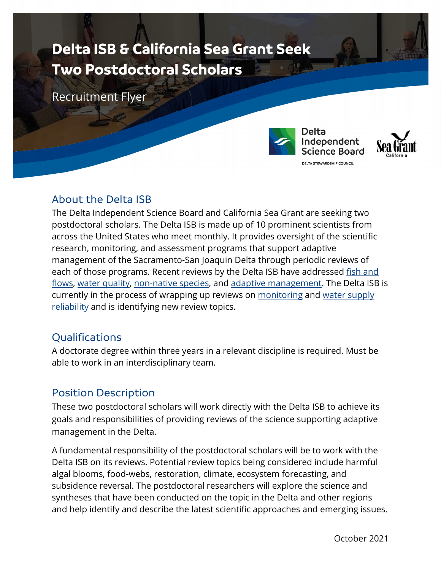# **Delta ISB & California Sea Grant Seek Two Postdoctoral Scholars**

Recruitment Flyer



**Delta** Independent **Science Board** DELTA STEWARDSHIP COUNCIL



# About the Delta ISB

The Delta Independent Science Board and California Sea Grant are seeking two postdoctoral scholars. The Delta ISB is made up of 10 prominent scientists from across the United States who meet monthly. It provides oversight of the scientific research, monitoring, and assessment programs that support adaptive management of the Sacramento-San Joaquin Delta through periodic reviews of each of those programs. Recent reviews by the Delta ISB have addressed fish and [flows,](https://deltacouncil.ca.gov/pdf/isb/products/2015-09-29-isb-final-fishes-and-flows-in-the-delta.pdf) [water quality,](https://deltacouncil.ca.gov/pdf/isb/products/2018-07-26-isb-2018-water-quality-review.pdf) [non-native species,](https://deltacouncil.ca.gov/pdf/isb/products/2021-05-21-isb-non-native-species-review.pdf) and [adaptive management.](https://deltacouncil.ca.gov/pdf/isb/products/2016-02-19-adaptive-management-report.pdf) The Delta ISB is currently in the process of wrapping up reviews on [monitoring](https://deltacouncil.ca.gov/pdf/isb/products/2017-04-06-isb-mer-prospectus.pdf) and [water supply](https://deltacouncil.ca.gov/pdf/isb/products/2018-04-03-isb-water-supply-prospectus.pdf)  [reliability](https://deltacouncil.ca.gov/pdf/isb/products/2018-04-03-isb-water-supply-prospectus.pdf) and is identifying new review topics.

# Qualifications

A doctorate degree within three years in a relevant discipline is required. Must be able to work in an interdisciplinary team.

## Position Description

These two postdoctoral scholars will work directly with the Delta ISB to achieve its goals and responsibilities of providing reviews of the science supporting adaptive management in the Delta.

A fundamental responsibility of the postdoctoral scholars will be to work with the Delta ISB on its reviews. Potential review topics being considered include harmful algal blooms, food-webs, restoration, climate, ecosystem forecasting, and subsidence reversal. The postdoctoral researchers will explore the science and syntheses that have been conducted on the topic in the Delta and other regions and help identify and describe the latest scientific approaches and emerging issues.